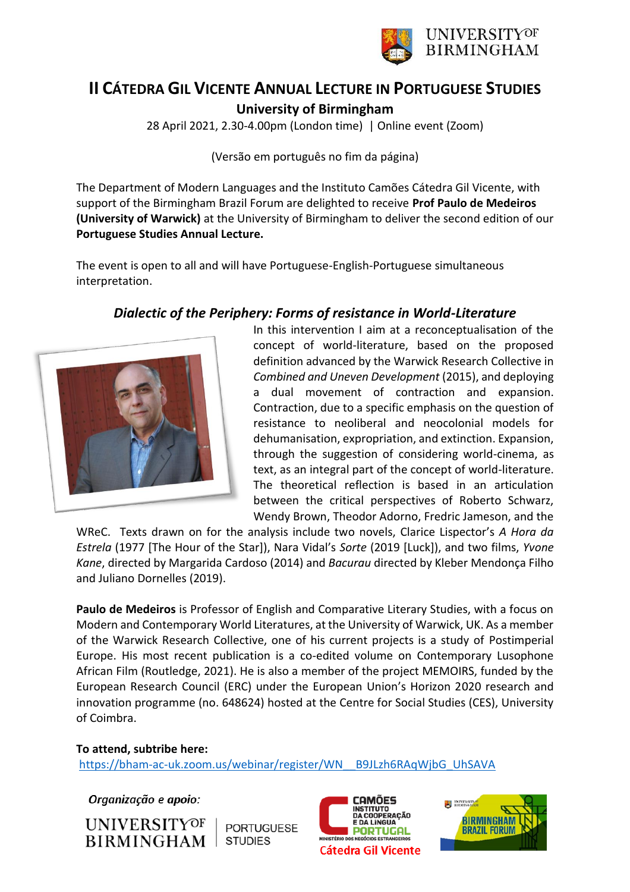

# **II CÁTEDRA GIL VICENTE ANNUAL LECTURE IN PORTUGUESE STUDIES University of Birmingham**

28 April 2021, 2.30-4.00pm (London time) | Online event (Zoom)

(Versão em português no fim da página)

The Department of Modern Languages and the Instituto Camões Cátedra Gil Vicente, with support of the Birmingham Brazil Forum are delighted to receive **Prof Paulo de Medeiros (University of Warwick)** at the University of Birmingham to deliver the second edition of our **Portuguese Studies Annual Lecture.** 

The event is open to all and will have Portuguese-English-Portuguese simultaneous interpretation.

### *Dialectic of the Periphery: Forms of resistance in World-Literature*



In this intervention I aim at a reconceptualisation of the concept of world-literature, based on the proposed definition advanced by the Warwick Research Collective in *Combined and Uneven Development* (2015), and deploying a dual movement of contraction and expansion. Contraction, due to a specific emphasis on the question of resistance to neoliberal and neocolonial models for dehumanisation, expropriation, and extinction. Expansion, through the suggestion of considering world-cinema, as text, as an integral part of the concept of world-literature. The theoretical reflection is based in an articulation between the critical perspectives of Roberto Schwarz, Wendy Brown, Theodor Adorno, Fredric Jameson, and the

WReC. Texts drawn on for the analysis include two novels, Clarice Lispector's *A Hora da Estrela* (1977 [The Hour of the Star]), Nara Vidal's *Sorte* (2019 [Luck]), and two films, *Yvone Kane*, directed by Margarida Cardoso (2014) and *Bacurau* directed by Kleber Mendonça Filho and Juliano Dornelles (2019).

**Paulo de Medeiros** is Professor of English and Comparative Literary Studies, with a focus on Modern and Contemporary World Literatures, at the University of Warwick, UK. As a member of the Warwick Research Collective, one of his current projects is a study of Postimperial Europe. His most recent publication is a co-edited volume on Contemporary Lusophone African Film (Routledge, 2021). He is also a member of the project MEMOIRS, funded by the European Research Council (ERC) under the European Union's Horizon 2020 research and innovation programme (no. 648624) hosted at the Centre for Social Studies (CES), University of Coimbra.

**To attend, subtribe here:** [https://bham-ac-uk.zoom.us/webinar/register/WN\\_\\_B9JLzh6RAqWjbG\\_UhSAVA](https://bham-ac-uk.zoom.us/webinar/register/WN__B9JLzh6RAqWjbG_UhSAVA)

Organização e apoio:



**PORTUGUESE STUDIES**